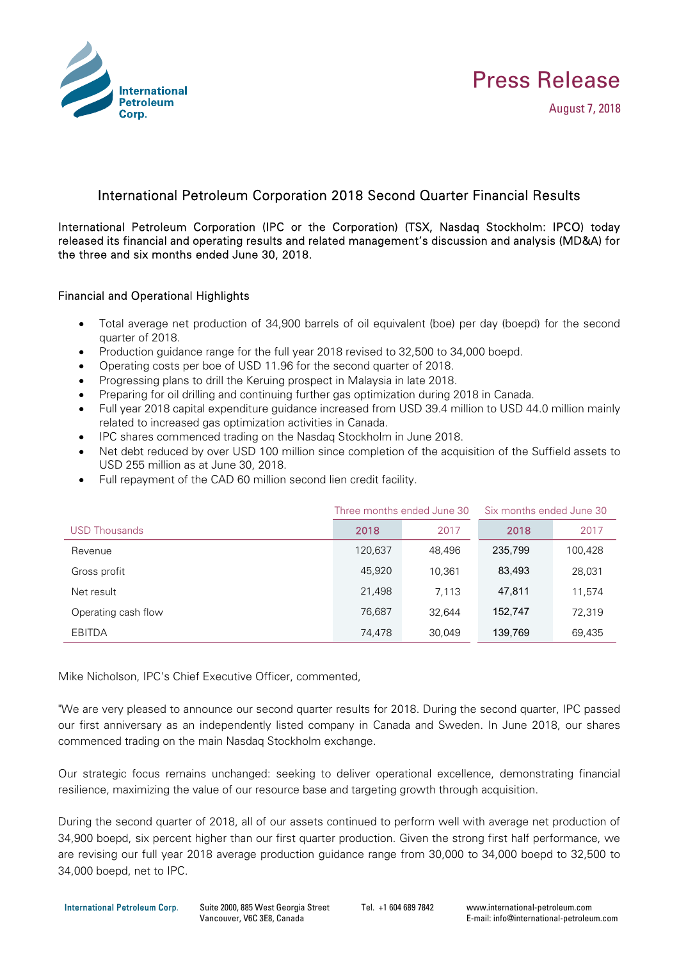

# Press Release

August 7, 2018

## International Petroleum Corporation 2018 Second Quarter Financial Results

International Petroleum Corporation (IPC or the Corporation) (TSX, Nasdaq Stockholm: IPCO) today released its financial and operating results and related management's discussion and analysis (MD&A) for the three and six months ended June 30, 2018.

### Financial and Operational Highlights

- Total average net production of 34,900 barrels of oil equivalent (boe) per day (boepd) for the second quarter of 2018.
- Production guidance range for the full year 2018 revised to 32,500 to 34,000 boepd.
- Operating costs per boe of USD 11.96 for the second quarter of 2018.
- Progressing plans to drill the Keruing prospect in Malaysia in late 2018.
- Preparing for oil drilling and continuing further gas optimization during 2018 in Canada.
- Full year 2018 capital expenditure guidance increased from USD 39.4 million to USD 44.0 million mainly related to increased gas optimization activities in Canada.
- IPC shares commenced trading on the Nasdaq Stockholm in June 2018.
- Net debt reduced by over USD 100 million since completion of the acquisition of the Suffield assets to USD 255 million as at June 30, 2018.
- Full repayment of the CAD 60 million second lien credit facility.

|                      | Three months ended June 30 |        | Six months ended June 30 |         |
|----------------------|----------------------------|--------|--------------------------|---------|
| <b>USD Thousands</b> | 2018                       | 2017   | 2018                     | 2017    |
| Revenue              | 120,637                    | 48.496 | 235,799                  | 100,428 |
| Gross profit         | 45,920                     | 10.361 | 83,493                   | 28,031  |
| Net result           | 21,498                     | 7.113  | 47,811                   | 11,574  |
| Operating cash flow  | 76,687                     | 32.644 | 152,747                  | 72.319  |
| EBITDA               | 74,478                     | 30.049 | 139,769                  | 69,435  |

Mike Nicholson, IPC's Chief Executive Officer, commented,

"We are very pleased to announce our second quarter results for 2018. During the second quarter, IPC passed our first anniversary as an independently listed company in Canada and Sweden. In June 2018, our shares commenced trading on the main Nasdaq Stockholm exchange.

Our strategic focus remains unchanged: seeking to deliver operational excellence, demonstrating financial resilience, maximizing the value of our resource base and targeting growth through acquisition.

During the second quarter of 2018, all of our assets continued to perform well with average net production of 34,900 boepd, six percent higher than our first quarter production. Given the strong first half performance, we are revising our full year 2018 average production guidance range from 30,000 to 34,000 boepd to 32,500 to 34,000 boepd, net to IPC.

International Petroleum Corp. Suite 2000, 885 West Georgia Street Vancouver, V6C 3E8, Canada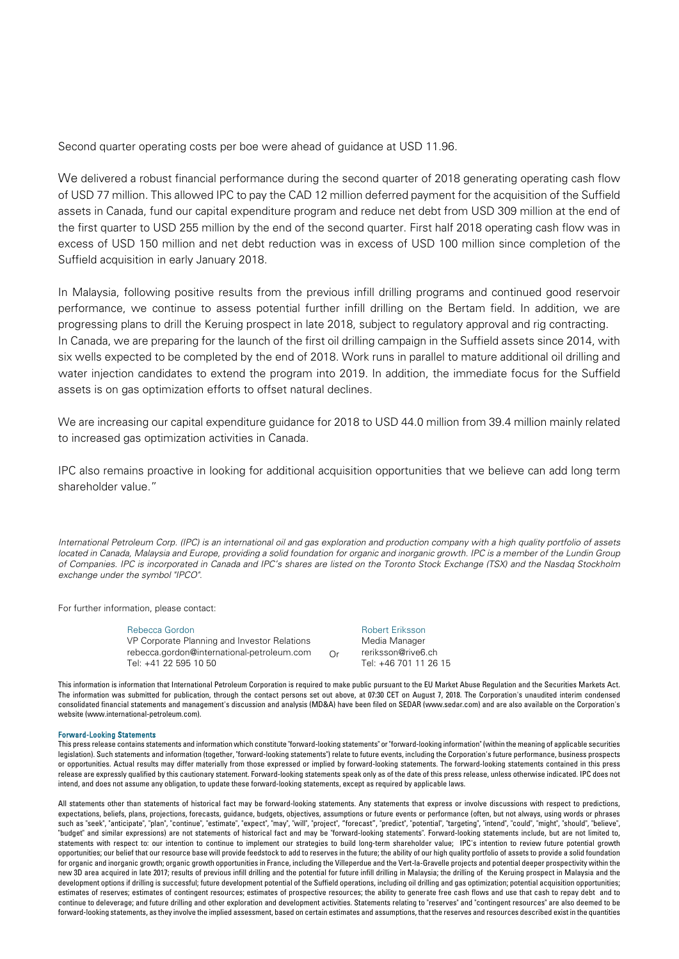Second quarter operating costs per boe were ahead of guidance at USD 11.96.

We delivered a robust financial performance during the second quarter of 2018 generating operating cash flow of USD 77 million. This allowed IPC to pay the CAD 12 million deferred payment for the acquisition of the Suffield assets in Canada, fund our capital expenditure program and reduce net debt from USD 309 million at the end of the first quarter to USD 255 million by the end of the second quarter. First half 2018 operating cash flow was in excess of USD 150 million and net debt reduction was in excess of USD 100 million since completion of the Suffield acquisition in early January 2018.

In Malaysia, following positive results from the previous infill drilling programs and continued good reservoir performance, we continue to assess potential further infill drilling on the Bertam field. In addition, we are progressing plans to drill the Keruing prospect in late 2018, subject to regulatory approval and rig contracting. In Canada, we are preparing for the launch of the first oil drilling campaign in the Suffield assets since 2014, with six wells expected to be completed by the end of 2018. Work runs in parallel to mature additional oil drilling and water injection candidates to extend the program into 2019. In addition, the immediate focus for the Suffield assets is on gas optimization efforts to offset natural declines.

We are increasing our capital expenditure quidance for 2018 to USD 44.0 million from 39.4 million mainly related to increased gas optimization activities in Canada.

IPC also remains proactive in looking for additional acquisition opportunities that we believe can add long term shareholder value."

*International Petroleum Corp. (IPC) is an international oil and gas exploration and production company with a high quality portfolio of assets*  located in Canada, Malaysia and Europe, providing a solid foundation for organic and inorganic growth. IPC is a member of the Lundin Group *of Companies. IPC is incorporated in Canada and IPC's shares are listed on the Toronto Stock Exchange (TSX) and the Nasdaq Stockholm exchange under the symbol "IPCO".* 

For further information, please contact:

Rebecca Gordon

VP Corporate Planning and Investor Relations rebecca.gordon@international-petroleum.com Tel: +41 22 595 10 50

Robert Eriksson Media Manager reriksson@rive6.ch Tel: +46 701 11 26 15

This information is information that International Petroleum Corporation is required to make public pursuant to the EU Market Abuse Regulation and the Securities Markets Act. The information was submitted for publication, through the contact persons set out above, at 07:30 CET on August 7, 2018. The Corporation's unaudited interim condensed consolidated financial statements and management's discussion and analysis (MD&A) have been filed on SEDAR (www.sedar.com) and are also available on the Corporation's website (www.international-petroleum.com).

Or

#### Forward-Looking Statements

This press release contains statements and information which constitute "forward-looking statements" or "forward-looking information" (within the meaning of applicable securities legislation). Such statements and information (together, "forward-looking statements") relate to future events, including the Corporation's future performance, business prospects or opportunities. Actual results may differ materially from those expressed or implied by forward-looking statements. The forward-looking statements contained in this press release are expressly qualified by this cautionary statement. Forward-looking statements speak only as of the date of this press release, unless otherwise indicated. IPC does not intend, and does not assume any obligation, to update these forward-looking statements, except as required by applicable laws.

All statements other than statements of historical fact may be forward-looking statements. Any statements that express or involve discussions with respect to predictions, expectations, beliefs, plans, projections, forecasts, guidance, budgets, objectives, assumptions or future events or performance (often, but not always, using words or phrases such as "seek", "anticipate", "plan", "continue", "estimate", "expect", "may", "will", "project", "forecast", "predict", "potential", "targeting", "intend", "could", "might", "should", "believe", "budget" and similar expressions) are not statements of historical fact and may be "forward-looking statements". Forward-looking statements include, but are not limited to, statements with respect to: our intention to continue to implement our strategies to build long-term shareholder value; IPC's intention to review future potential growth opportunities; our belief that our resource base will provide feedstock to add to reserves in the future; the ability of our high quality portfolio of assets to provide a solid foundation for organic and inorganic growth; organic growth opportunities in France, including the Villeperdue and the Vert-la-Gravelle projects and potential deeper prospectivity within the new 3D area acquired in late 2017; results of previous infill drilling and the potential for future infill drilling in Malaysia; the drilling of the Keruing prospect in Malaysia and the development options if drilling is successful; future development potential of the Suffield operations, including oil drilling and gas optimization; potential acquisition opportunities; estimates of reserves; estimates of contingent resources; estimates of prospective resources; the ability to generate free cash flows and use that cash to repay debt and to continue to deleverage; and future drilling and other exploration and development activities. Statements relating to "reserves" and "contingent resources" are also deemed to be forward-looking statements, as they involve the implied assessment, based on certain estimates and assumptions, that the reserves and resources described exist in the quantities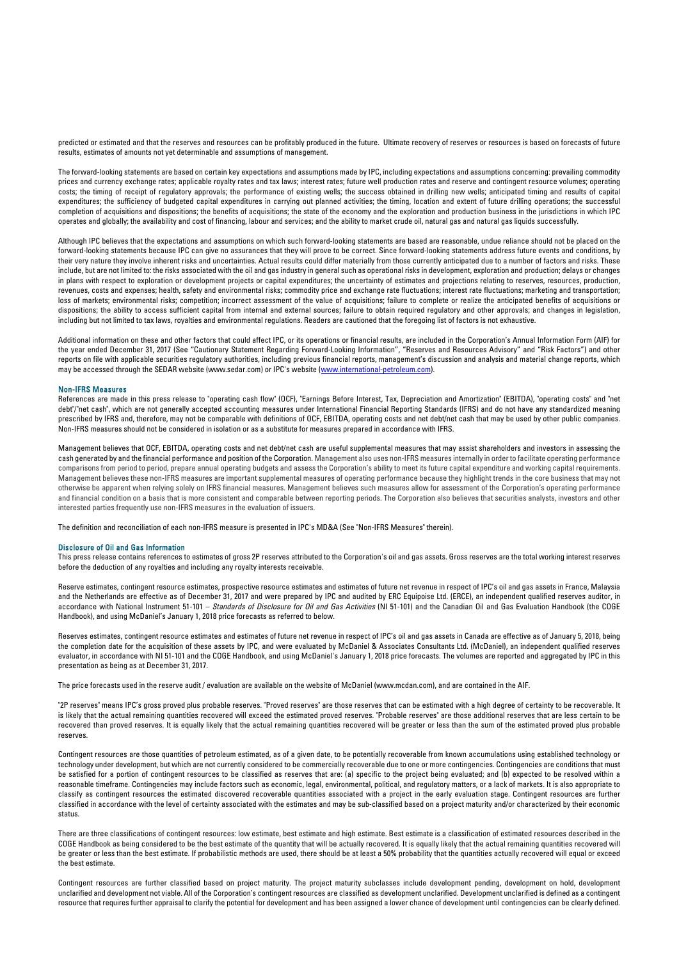predicted or estimated and that the reserves and resources can be profitably produced in the future. Ultimate recovery of reserves or resources is based on forecasts of future results, estimates of amounts not yet determinable and assumptions of management.

The forward-looking statements are based on certain key expectations and assumptions made by IPC, including expectations and assumptions concerning: prevailing commodity prices and currency exchange rates; applicable royalty rates and tax laws; interest rates; future well production rates and reserve and contingent resource volumes; operating costs; the timing of receipt of regulatory approvals; the performance of existing wells; the success obtained in drilling new wells; anticipated timing and results of capital expenditures; the sufficiency of budgeted capital expenditures in carrying out planned activities; the timing, location and extent of future drilling operations; the successful completion of acquisitions and dispositions; the benefits of acquisitions; the state of the economy and the exploration and production business in the jurisdictions in which IPC operates and globally; the availability and cost of financing, labour and services; and the ability to market crude oil, natural gas and natural gas liquids successfully.

Although IPC believes that the expectations and assumptions on which such forward-looking statements are based are reasonable, undue reliance should not be placed on the forward-looking statements because IPC can give no assurances that they will prove to be correct. Since forward-looking statements address future events and conditions, by their very nature they involve inherent risks and uncertainties. Actual results could differ materially from those currently anticipated due to a number of factors and risks. These include, but are not limited to: the risks associated with the oil and gas industry in general such as operational risks in development, exploration and production; delays or changes in plans with respect to exploration or development projects or capital expenditures; the uncertainty of estimates and projections relating to reserves, resources, production, revenues, costs and expenses; health, safety and environmental risks; commodity price and exchange rate fluctuations; interest rate fluctuations; marketing and transportation; loss of markets; environmental risks; competition; incorrect assessment of the value of acquisitions; failure to complete or realize the anticipated benefits of acquisitions or dispositions; the ability to access sufficient capital from internal and external sources; failure to obtain required regulatory and other approvals; and changes in legislation, including but not limited to tax laws, royalties and environmental regulations. Readers are cautioned that the foregoing list of factors is not exhaustive.

Additional information on these and other factors that could affect IPC, or its operations or financial results, are included in the Corporation's Annual Information Form (AIF) for the year ended December 31, 2017 (See "Cautionary Statement Regarding Forward-Looking Information", "Reserves and Resources Advisory" and "Risk Factors") and other reports on file with applicable securities regulatory authorities, including previous financial reports, management's discussion and analysis and material change reports, which may be accessed through the SEDAR website (www.sedar.com) or IPC's website (www.international-petroleum.com).

#### Non-IFRS Measures

References are made in this press release to "operating cash flow" (OCF), "Earnings Before Interest, Tax, Depreciation and Amortization" (EBITDA), "operating costs" and "net debt"/"net cash", which are not generally accepted accounting measures under International Financial Reporting Standards (IFRS) and do not have any standardized meaning prescribed by IFRS and, therefore, may not be comparable with definitions of OCF, EBITDA, operating costs and net debt/net cash that may be used by other public companies. Non-IFRS measures should not be considered in isolation or as a substitute for measures prepared in accordance with IFRS.

Management believes that OCF, EBITDA, operating costs and net debt/net cash are useful supplemental measures that may assist shareholders and investors in assessing the cash generated by and the financial performance and position of the Corporation. Management also uses non-IFRS measures internally in order to facilitate operating performance comparisons from period to period, prepare annual operating budgets and assess the Corporation's ability to meet its future capital expenditure and working capital requirements. Management believes these non-IFRS measures are important supplemental measures of operating performance because they highlight trends in the core business that may not otherwise be apparent when relying solely on IFRS financial measures. Management believes such measures allow for assessment of the Corporation's operating performance and financial condition on a basis that is more consistent and comparable between reporting periods. The Corporation also believes that securities analysts, investors and other interested parties frequently use non-IFRS measures in the evaluation of issuers.

The definition and reconciliation of each non-IFRS measure is presented in IPC's MD&A (See "Non-IFRS Measures" therein).

#### Disclosure of Oil and Gas Information

This press release contains references to estimates of gross 2P reserves attributed to the Corporation's oil and gas assets. Gross reserves are the total working interest reserves before the deduction of any royalties and including any royalty interests receivable.

Reserve estimates, contingent resource estimates, prospective resource estimates and estimates of future net revenue in respect of IPC's oil and gas assets in France, Malaysia and the Netherlands are effective as of December 31, 2017 and were prepared by IPC and audited by ERC Equipoise Ltd. (ERCE), an independent qualified reserves auditor, in accordance with National Instrument 51-101 – *Standards of Disclosure for Oil and Gas Activities* (NI 51-101) and the Canadian Oil and Gas Evaluation Handbook (the COGE Handbook), and using McDaniel's January 1, 2018 price forecasts as referred to below.

Reserves estimates, contingent resource estimates and estimates of future net revenue in respect of IPC's oil and gas assets in Canada are effective as of January 5, 2018, being the completion date for the acquisition of these assets by IPC, and were evaluated by McDaniel & Associates Consultants Ltd. (McDaniel), an independent qualified reserves evaluator, in accordance with NI 51-101 and the COGE Handbook, and using McDaniel's January 1, 2018 price forecasts. The volumes are reported and aggregated by IPC in this presentation as being as at December 31, 2017.

The price forecasts used in the reserve audit / evaluation are available on the website of McDaniel (www.mcdan.com), and are contained in the AIF.

"2P reserves" means IPC's gross proved plus probable reserves. "Proved reserves" are those reserves that can be estimated with a high degree of certainty to be recoverable. It is likely that the actual remaining quantities recovered will exceed the estimated proved reserves. "Probable reserves" are those additional reserves that are less certain to be recovered than proved reserves. It is equally likely that the actual remaining quantities recovered will be greater or less than the sum of the estimated proved plus probable reserves.

Contingent resources are those quantities of petroleum estimated, as of a given date, to be potentially recoverable from known accumulations using established technology or technology under development, but which are not currently considered to be commercially recoverable due to one or more contingencies. Contingencies are conditions that must be satisfied for a portion of contingent resources to be classified as reserves that are: (a) specific to the project being evaluated; and (b) expected to be resolved within a reasonable timeframe. Contingencies may include factors such as economic, legal, environmental, political, and regulatory matters, or a lack of markets. It is also appropriate to classify as contingent resources the estimated discovered recoverable quantities associated with a project in the early evaluation stage. Contingent resources are further classified in accordance with the level of certainty associated with the estimates and may be sub-classified based on a project maturity and/or characterized by their economic status.

There are three classifications of contingent resources: low estimate, best estimate and high estimate. Best estimate is a classification of estimated resources described in the COGE Handbook as being considered to be the best estimate of the quantity that will be actually recovered. It is equally likely that the actual remaining quantities recovered will be greater or less than the best estimate. If probabilistic methods are used, there should be at least a 50% probability that the quantities actually recovered will equal or exceed the best estimate.

Contingent resources are further classified based on project maturity. The project maturity subclasses include development pending, development on hold, development unclarified and development not viable. All of the Corporation's contingent resources are classified as development unclarified. Development unclarified is defined as a contingent resource that requires further appraisal to clarify the potential for development and has been assigned a lower chance of development until contingencies can be clearly defined.